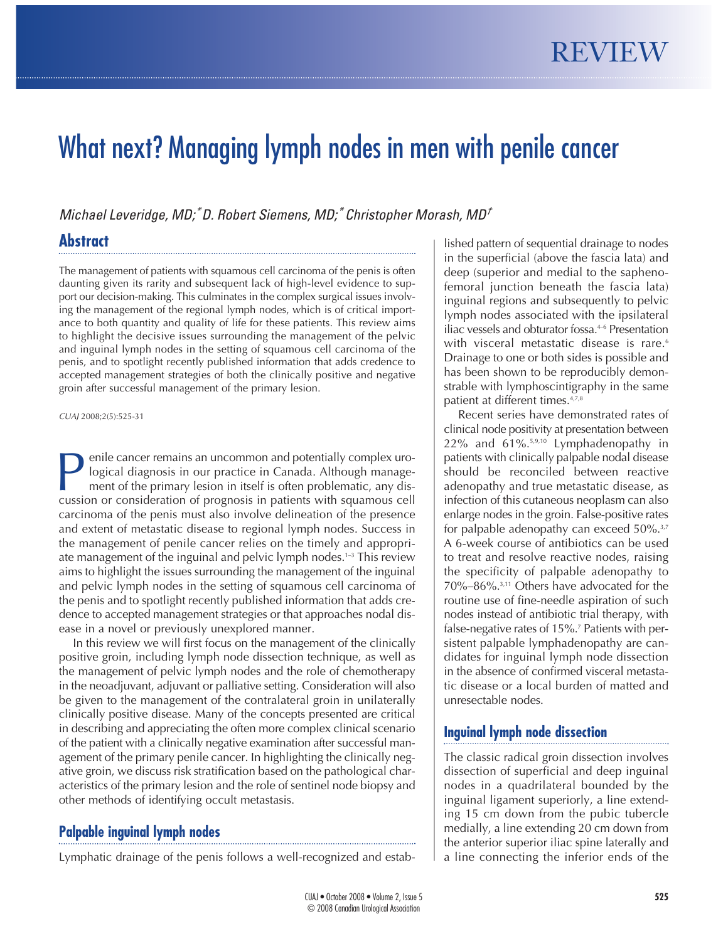# What next? Managing lymph nodes in men with penile cancer

Michael Leveridge, MD; $^*$ D. Robert Siemens, MD; $^*$ Christopher Morash, MD<sup>†</sup>

# **Abstract**

The management of patients with squamous cell carcinoma of the penis is often daunting given its rarity and subsequent lack of high-level evidence to support our decision-making. This culminates in the complex surgical issues involving the management of the regional lymph nodes, which is of critical importance to both quantity and quality of life for these patients. This review aims to highlight the decisive issues surrounding the management of the pelvic and inguinal lymph nodes in the setting of squamous cell carcinoma of the penis, and to spotlight recently published information that adds credence to accepted management strategies of both the clinically positive and negative groin after successful management of the primary lesion.

CUAJ 2008;2(5):525-31

enile cancer remains an uncommon and potentially complex urological diagnosis in our practice in Canada. Although management of the primary lesion in itself is often problematic, any discussion or consideration of prognosis in patients with squamous cell carcinoma of the penis must also involve delineation of the presence and extent of metastatic disease to regional lymph nodes. Success in the management of penile cancer relies on the timely and appropriate management of the inguinal and pelvic lymph nodes.1–3 This review aims to highlight the issues surrounding the management of the inguinal and pelvic lymph nodes in the setting of squamous cell carcinoma of the penis and to spotlight recently published information that adds credence to accepted management strategies or that approaches nodal disease in a novel or previously unexplored manner.

In this review we will first focus on the management of the clinically positive groin, including lymph node dissection technique, as well as the management of pelvic lymph nodes and the role of chemotherapy in the neoadjuvant, adjuvant or palliative setting. Consideration will also be given to the management of the contralateral groin in unilaterally clinically positive disease. Many of the concepts presented are critical in describing and appreciating the often more complex clinical scenario of the patient with a clinically negative examination after successful management of the primary penile cancer. In highlighting the clinically negative groin, we discuss risk stratification based on the pathological characteristics of the primary lesion and the role of sentinel node biopsy and other methods of identifying occult metastasis.

# **Palpable inguinal lymph nodes**

Lymphatic drainage of the penis follows a well-recognized and estab-

lished pattern of sequential drainage to nodes in the superficial (above the fascia lata) and deep (superior and medial to the saphenofemoral junction beneath the fascia lata) inguinal regions and subsequently to pelvic lymph nodes associated with the ipsilateral iliac vessels and obturator fossa.4–6 Presentation with visceral metastatic disease is rare.<sup>6</sup> Drainage to one or both sides is possible and has been shown to be reproducibly demonstrable with lymphoscintigraphy in the same patient at different times.<sup>4,7,8</sup>

Recent series have demonstrated rates of clinical node positivity at presentation between 22% and 61%.5,9,10 Lymphadenopathy in patients with clinically palpable nodal disease should be reconciled between reactive adenopathy and true metastatic disease, as infection of this cutaneous neoplasm can also enlarge nodes in the groin. False-positive rates for palpable adenopathy can exceed 50%.3,7 A 6-week course of antibiotics can be used to treat and resolve reactive nodes, raising the specificity of palpable adenopathy to 70%–86%.3,11 Others have advocated for the routine use of fine-needle aspiration of such nodes instead of antibiotic trial therapy, with false-negative rates of 15%.7 Patients with persistent palpable lymphadenopathy are candidates for inguinal lymph node dissection in the absence of confirmed visceral metastatic disease or a local burden of matted and unresectable nodes.

# **Inguinal lymph node dissection**

The classic radical groin dissection involves dissection of superficial and deep inguinal nodes in a quadrilateral bounded by the inguinal ligament superiorly, a line extending 15 cm down from the pubic tubercle medially, a line extending 20 cm down from the anterior superior iliac spine laterally and a line connecting the inferior ends of the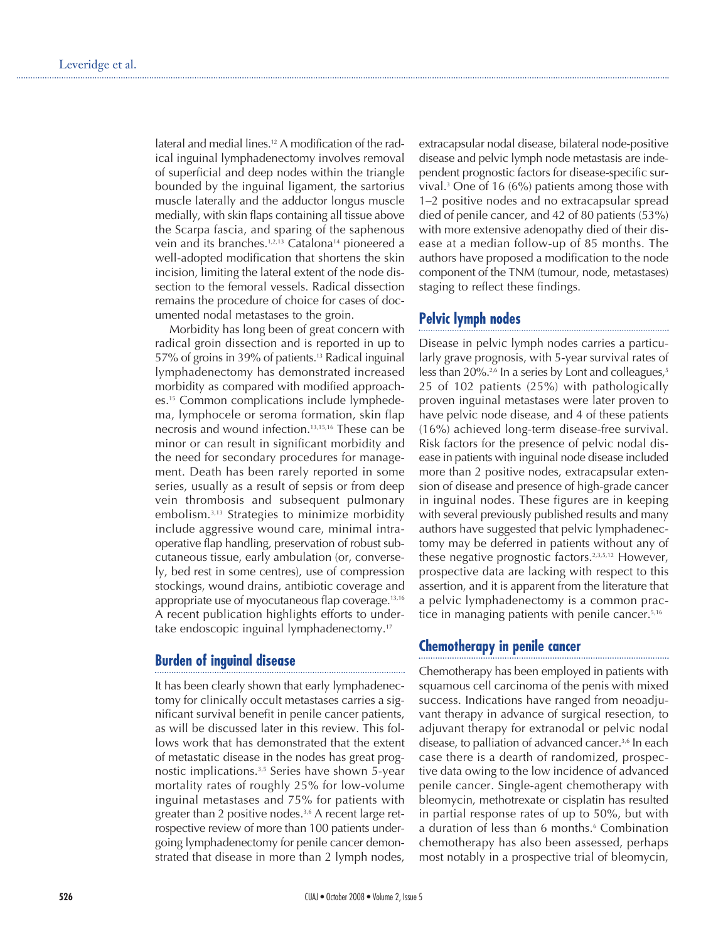lateral and medial lines.<sup>12</sup> A modification of the radical inguinal lymphadenectomy involves removal of superficial and deep nodes within the triangle bounded by the inguinal ligament, the sartorius muscle laterally and the adductor longus muscle medially, with skin flaps containing all tissue above the Scarpa fascia, and sparing of the saphenous vein and its branches.1,2,13 Catalona14 pioneered a well-adopted modification that shortens the skin incision, limiting the lateral extent of the node dissection to the femoral vessels. Radical dissection remains the procedure of choice for cases of documented nodal metastases to the groin.

Morbidity has long been of great concern with radical groin dissection and is reported in up to 57% of groins in 39% of patients.<sup>13</sup> Radical inguinal lymphadenectomy has demonstrated increased morbidity as compared with modified approaches.15 Common complications include lymphedema, lymphocele or seroma formation, skin flap necrosis and wound infection.13,15,16 These can be minor or can result in significant morbidity and the need for secondary procedures for management. Death has been rarely reported in some series, usually as a result of sepsis or from deep vein thrombosis and subsequent pulmonary embolism.3,13 Strategies to minimize morbidity include aggressive wound care, minimal intraoperative flap handling, preservation of robust subcutaneous tissue, early ambulation (or, conversely, bed rest in some centres), use of compression stockings, wound drains, antibiotic coverage and appropriate use of myocutaneous flap coverage.13,16 A recent publication highlights efforts to undertake endoscopic inguinal lymphadenectomy.17

#### **Burden of inguinal disease**

It has been clearly shown that early lymphadenectomy for clinically occult metastases carries a significant survival benefit in penile cancer patients, as will be discussed later in this review. This follows work that has demonstrated that the extent of metastatic disease in the nodes has great prognostic implications.<sup>3,5</sup> Series have shown 5-year mortality rates of roughly 25% for low-volume inguinal metastases and 75% for patients with greater than 2 positive nodes.3,6 A recent large retrospective review of more than 100 patients undergoing lymphadenectomy for penile cancer demonstrated that disease in more than 2 lymph nodes,

extracapsular nodal disease, bilateral node-positive disease and pelvic lymph node metastasis are independent prognostic factors for disease-specific survival.3 One of 16 (6%) patients among those with 1–2 positive nodes and no extracapsular spread died of penile cancer, and 42 of 80 patients (53%) with more extensive adenopathy died of their disease at a median follow-up of 85 months. The authors have proposed a modification to the node component of the TNM (tumour, node, metastases) staging to reflect these findings.

### **Pelvic lymph nodes**

Disease in pelvic lymph nodes carries a particularly grave prognosis, with 5-year survival rates of less than 20%.<sup>2,6</sup> In a series by Lont and colleagues,<sup>5</sup> 25 of 102 patients (25%) with pathologically proven inguinal metastases were later proven to have pelvic node disease, and 4 of these patients (16%) achieved long-term disease-free survival. Risk factors for the presence of pelvic nodal disease in patients with inguinal node disease included more than 2 positive nodes, extracapsular extension of disease and presence of high-grade cancer in inguinal nodes. These figures are in keeping with several previously published results and many authors have suggested that pelvic lymphadenectomy may be deferred in patients without any of these negative prognostic factors.2,3,5,12 However, prospective data are lacking with respect to this assertion, and it is apparent from the literature that a pelvic lymphadenectomy is a common practice in managing patients with penile cancer.<sup>5,16</sup>

## **Chemotherapy in penile cancer**

Chemotherapy has been employed in patients with squamous cell carcinoma of the penis with mixed success. Indications have ranged from neoadjuvant therapy in advance of surgical resection, to adjuvant therapy for extranodal or pelvic nodal disease, to palliation of advanced cancer.3,6 In each case there is a dearth of randomized, prospective data owing to the low incidence of advanced penile cancer. Single-agent chemotherapy with bleomycin, methotrexate or cisplatin has resulted in partial response rates of up to 50%, but with a duration of less than 6 months.<sup>6</sup> Combination chemotherapy has also been assessed, perhaps most notably in a prospective trial of bleomycin,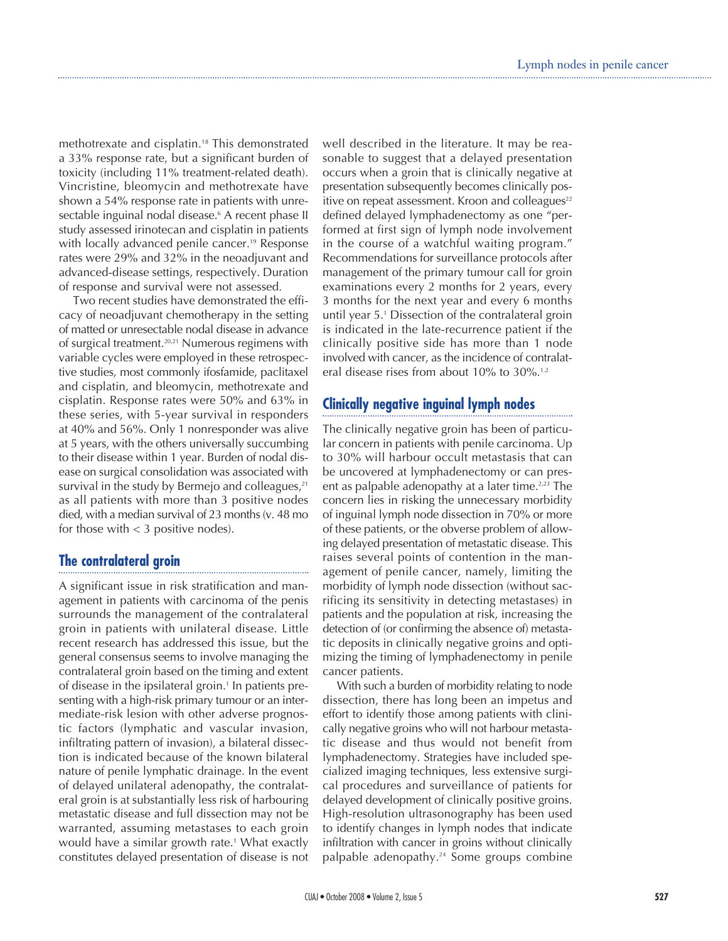methotrexate and cisplatin.18 This demonstrated a 33% response rate, but a significant burden of toxicity (including 11% treatment-related death). Vincristine, bleomycin and methotrexate have shown a 54% response rate in patients with unresectable inguinal nodal disease.<sup>6</sup> A recent phase II study assessed irinotecan and cisplatin in patients with locally advanced penile cancer.<sup>19</sup> Response rates were 29% and 32% in the neoadjuvant and advanced-disease settings, respectively. Duration of response and survival were not assessed.

Two recent studies have demonstrated the efficacy of neoadjuvant chemotherapy in the setting of matted or unresectable nodal disease in advance of surgical treatment.20,21 Numerous regimens with variable cycles were employed in these retrospective studies, most commonly ifosfamide, paclitaxel and cisplatin, and bleomycin, methotrexate and cisplatin. Response rates were 50% and 63% in these series, with 5-year survival in responders at 40% and 56%. Only 1 nonresponder was alive at 5 years, with the others universally succumbing to their disease within 1 year. Burden of nodal disease on surgical consolidation was associated with survival in the study by Bermejo and colleagues, $21$ as all patients with more than 3 positive nodes died, with a median survival of 23 months (v. 48 mo for those with  $<$  3 positive nodes).

#### **The contralateral groin**

A significant issue in risk stratification and management in patients with carcinoma of the penis surrounds the management of the contralateral groin in patients with unilateral disease. Little recent research has addressed this issue, but the general consensus seems to involve managing the contralateral groin based on the timing and extent of disease in the ipsilateral groin.<sup>1</sup> In patients presenting with a high-risk primary tumour or an intermediate-risk lesion with other adverse prognostic factors (lymphatic and vascular invasion, infiltrating pattern of invasion), a bilateral dissection is indicated because of the known bilateral nature of penile lymphatic drainage. In the event of delayed unilateral adenopathy, the contralateral groin is at substantially less risk of harbouring metastatic disease and full dissection may not be warranted, assuming metastases to each groin would have a similar growth rate.<sup>1</sup> What exactly constitutes delayed presentation of disease is not

well described in the literature. It may be reasonable to suggest that a delayed presentation occurs when a groin that is clinically negative at presentation subsequently becomes clinically positive on repeat assessment. Kroon and colleagues $^{22}$ defined delayed lymphadenectomy as one "performed at first sign of lymph node involvement in the course of a watchful waiting program." Recommendations for surveillance protocols after management of the primary tumour call for groin examinations every 2 months for 2 years, every 3 months for the next year and every 6 months until year 5.1 Dissection of the contralateral groin is indicated in the late-recurrence patient if the clinically positive side has more than 1 node involved with cancer, as the incidence of contralateral disease rises from about 10% to 30%.<sup>1,2</sup>

## **Clinically negative inguinal lymph nodes**

The clinically negative groin has been of particular concern in patients with penile carcinoma. Up to 30% will harbour occult metastasis that can be uncovered at lymphadenectomy or can present as palpable adenopathy at a later time.<sup>2,23</sup> The concern lies in risking the unnecessary morbidity of inguinal lymph node dissection in 70% or more of these patients, or the obverse problem of allowing delayed presentation of metastatic disease. This raises several points of contention in the management of penile cancer, namely, limiting the morbidity of lymph node dissection (without sacrificing its sensitivity in detecting metastases) in patients and the population at risk, increasing the detection of (or confirming the absence of) metastatic deposits in clinically negative groins and optimizing the timing of lymphadenectomy in penile cancer patients.

With such a burden of morbidity relating to node dissection, there has long been an impetus and effort to identify those among patients with clinically negative groins who will not harbour metastatic disease and thus would not benefit from lymphadenectomy. Strategies have included specialized imaging techniques, less extensive surgical procedures and surveillance of patients for delayed development of clinically positive groins. High-resolution ultrasonography has been used to identify changes in lymph nodes that indicate infiltration with cancer in groins without clinically palpable adenopathy.<sup>24</sup> Some groups combine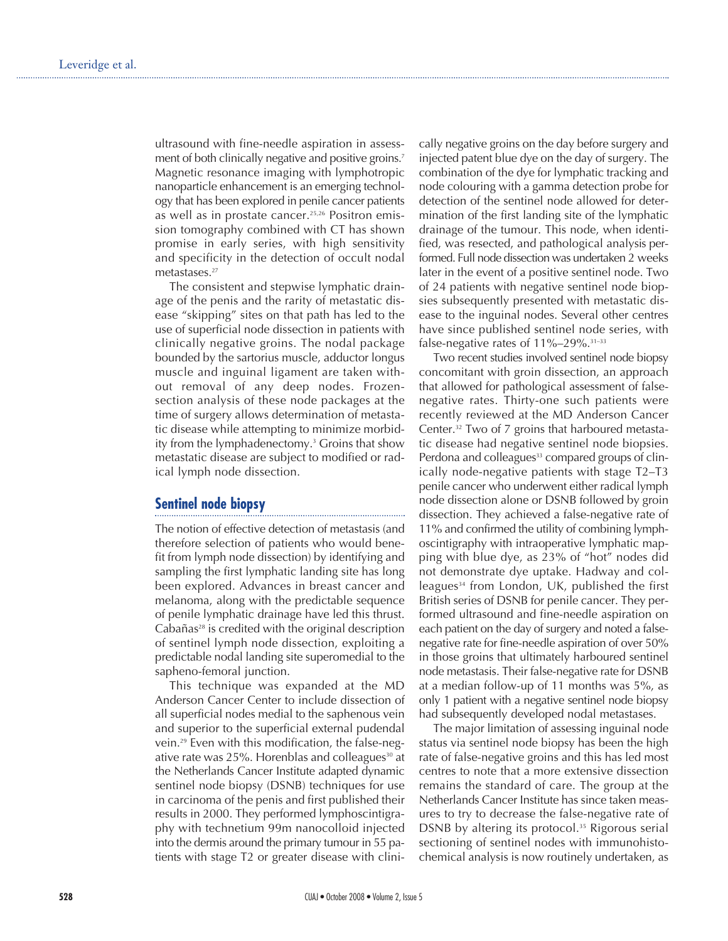ultrasound with fine-needle aspiration in assessment of both clinically negative and positive groins.<sup>7</sup> Magnetic resonance imaging with lymphotropic nanoparticle enhancement is an emerging technology that has been explored in penile cancer patients as well as in prostate cancer.<sup>25,26</sup> Positron emission tomography combined with CT has shown promise in early series, with high sensitivity and specificity in the detection of occult nodal metastases.<sup>27</sup>

The consistent and stepwise lymphatic drainage of the penis and the rarity of metastatic disease "skipping" sites on that path has led to the use of superficial node dissection in patients with clinically negative groins. The nodal package bounded by the sartorius muscle, adductor longus muscle and inguinal ligament are taken without removal of any deep nodes. Frozensection analysis of these node packages at the time of surgery allows determination of metastatic disease while attempting to minimize morbidity from the lymphadenectomy.<sup>3</sup> Groins that show metastatic disease are subject to modified or radical lymph node dissection.

#### **Sentinel node biopsy**

The notion of effective detection of metastasis (and therefore selection of patients who would benefit from lymph node dissection) by identifying and sampling the first lymphatic landing site has long been explored. Advances in breast cancer and melanoma, along with the predictable sequence of penile lymphatic drainage have led this thrust. Cabañas<sup>28</sup> is credited with the original description of sentinel lymph node dissection, exploiting a predictable nodal landing site superomedial to the sapheno-femoral junction.

This technique was expanded at the MD Anderson Cancer Center to include dissection of all superficial nodes medial to the saphenous vein and superior to the superficial external pudendal vein.29 Even with this modification, the false-negative rate was  $25\%$ . Horenblas and colleagues<sup>30</sup> at the Netherlands Cancer Institute adapted dynamic sentinel node biopsy (DSNB) techniques for use in carcinoma of the penis and first published their results in 2000. They performed lymphoscintigraphy with technetium 99m nanocolloid injected into the dermis around the primary tumour in 55 patients with stage T2 or greater disease with clini-

cally negative groins on the day before surgery and injected patent blue dye on the day of surgery. The combination of the dye for lymphatic tracking and node colouring with a gamma detection probe for detection of the sentinel node allowed for determination of the first landing site of the lymphatic drainage of the tumour. This node, when identified, was resected, and pathological analysis performed. Full node dissection was undertaken 2 weeks later in the event of a positive sentinel node. Two of 24 patients with negative sentinel node biopsies subsequently presented with metastatic disease to the inguinal nodes. Several other centres have since published sentinel node series, with false-negative rates of 11%–29%.31–33

Two recent studies involved sentinel node biopsy concomitant with groin dissection, an approach that allowed for pathological assessment of falsenegative rates. Thirty-one such patients were recently reviewed at the MD Anderson Cancer Center.32 Two of 7 groins that harboured metastatic disease had negative sentinel node biopsies. Perdona and colleagues<sup>33</sup> compared groups of clinically node-negative patients with stage T2–T3 penile cancer who underwent either radical lymph node dissection alone or DSNB followed by groin dissection. They achieved a false-negative rate of 11% and confirmed the utility of combining lymphoscintigraphy with intraoperative lymphatic mapping with blue dye, as 23% of "hot" nodes did not demonstrate dye uptake. Hadway and colleagues<sup>34</sup> from London, UK, published the first British series of DSNB for penile cancer. They performed ultrasound and fine-needle aspiration on each patient on the day of surgery and noted a falsenegative rate for fine-needle aspiration of over 50% in those groins that ultimately harboured sentinel node metastasis. Their false-negative rate for DSNB at a median follow-up of 11 months was 5%, as only 1 patient with a negative sentinel node biopsy had subsequently developed nodal metastases.

The major limitation of assessing inguinal node status via sentinel node biopsy has been the high rate of false-negative groins and this has led most centres to note that a more extensive dissection remains the standard of care. The group at the Netherlands Cancer Institute has since taken measures to try to decrease the false-negative rate of DSNB by altering its protocol.<sup>35</sup> Rigorous serial sectioning of sentinel nodes with immunohistochemical analysis is now routinely undertaken, as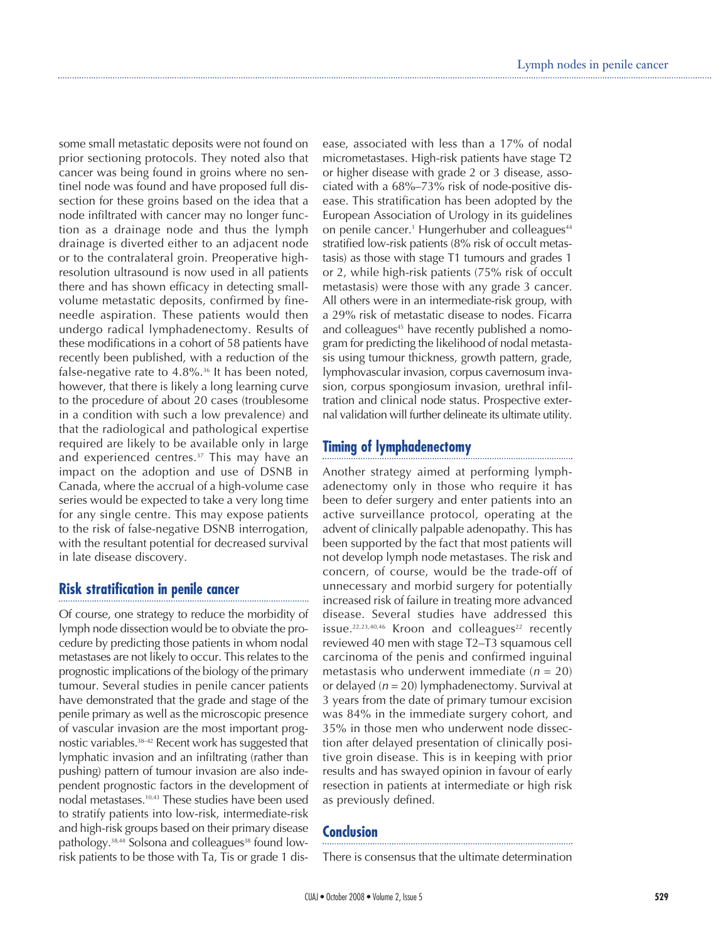some small metastatic deposits were not found on prior sectioning protocols. They noted also that cancer was being found in groins where no sentinel node was found and have proposed full dissection for these groins based on the idea that a node infiltrated with cancer may no longer function as a drainage node and thus the lymph drainage is diverted either to an adjacent node or to the contralateral groin. Preoperative highresolution ultrasound is now used in all patients there and has shown efficacy in detecting smallvolume metastatic deposits, confirmed by fineneedle aspiration. These patients would then undergo radical lymphadenectomy. Results of these modifications in a cohort of 58 patients have recently been published, with a reduction of the false-negative rate to 4.8%.<sup>36</sup> It has been noted, however, that there is likely a long learning curve to the procedure of about 20 cases (troublesome in a condition with such a low prevalence) and that the radiological and pathological expertise required are likely to be available only in large and experienced centres.<sup>37</sup> This may have an impact on the adoption and use of DSNB in Canada, where the accrual of a high-volume case series would be expected to take a very long time for any single centre. This may expose patients to the risk of false-negative DSNB interrogation, with the resultant potential for decreased survival in late disease discovery.

#### **Risk stratification in penile cancer**

Of course, one strategy to reduce the morbidity of lymph node dissection would be to obviate the procedure by predicting those patients in whom nodal metastases are not likely to occur. This relates to the prognostic implications of the biology of the primary tumour. Several studies in penile cancer patients have demonstrated that the grade and stage of the penile primary as well as the microscopic presence of vascular invasion are the most important prognostic variables.38–42 Recent work has suggested that lymphatic invasion and an infiltrating (rather than pushing) pattern of tumour invasion are also independent prognostic factors in the development of nodal metastases.10,43 These studies have been used to stratify patients into low-risk, intermediate-risk and high-risk groups based on their primary disease pathology.<sup>38,44</sup> Solsona and colleagues<sup>38</sup> found lowrisk patients to be those with Ta, Tis or grade 1 dis-

ease, associated with less than a 17% of nodal micrometastases. High-risk patients have stage T2 or higher disease with grade 2 or 3 disease, associated with a 68%–73% risk of node-positive disease. This stratification has been adopted by the European Association of Urology in its guidelines on penile cancer.<sup>1</sup> Hungerhuber and colleagues<sup>44</sup> stratified low-risk patients (8% risk of occult metastasis) as those with stage T1 tumours and grades 1 or 2, while high-risk patients (75% risk of occult metastasis) were those with any grade 3 cancer. All others were in an intermediate-risk group, with a 29% risk of metastatic disease to nodes. Ficarra and colleagues<sup>45</sup> have recently published a nomogram for predicting the likelihood of nodal metastasis using tumour thickness, growth pattern, grade, lymphovascular invasion, corpus cavernosum invasion, corpus spongiosum invasion, urethral infiltration and clinical node status. Prospective external validation will further delineate its ultimate utility.

#### **Timing of lymphadenectomy**

Another strategy aimed at performing lymphadenectomy only in those who require it has been to defer surgery and enter patients into an active surveillance protocol, operating at the advent of clinically palpable adenopathy. This has been supported by the fact that most patients will not develop lymph node metastases. The risk and concern, of course, would be the trade-off of unnecessary and morbid surgery for potentially increased risk of failure in treating more advanced disease. Several studies have addressed this issue.<sup>22,23,40,46</sup> Kroon and colleagues<sup>22</sup> recently reviewed 40 men with stage T2–T3 squamous cell carcinoma of the penis and confirmed inguinal metastasis who underwent immediate ( $n = 20$ ) or delayed ( $n = 20$ ) lymphadenectomy. Survival at 3 years from the date of primary tumour excision was 84% in the immediate surgery cohort, and 35% in those men who underwent node dissection after delayed presentation of clinically positive groin disease. This is in keeping with prior results and has swayed opinion in favour of early resection in patients at intermediate or high risk as previously defined.

#### **Conclusion**

There is consensus that the ultimate determination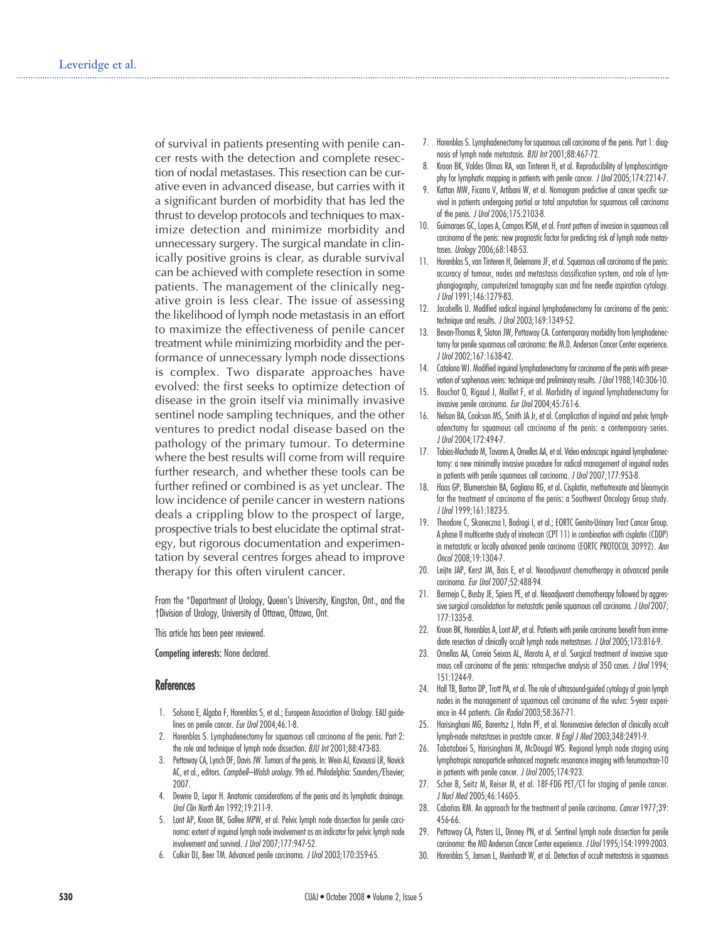of survival in patients presenting with penile cancer rests with the detection and complete resection of nodal metastases. This resection can be curative even in advanced disease, but carries with it a significant burden of morbidity that has led the thrust to develop protocols and techniques to maximize detection and minimize morbidity and unnecessary surgery. The surgical mandate in clinically positive groins is clear, as durable survival can be achieved with complete resection in some patients. The management of the clinically negative groin is less clear. The issue of assessing the likelihood of lymph node metastasis in an effort to maximize the effectiveness of penile cancer treatment while minimizing morbidity and the performance of unnecessary lymph node dissections is complex. Two disparate approaches have evolved: the first seeks to optimize detection of disease in the groin itself via minimally invasive sentinel node sampling techniques, and the other ventures to predict nodal disease based on the pathology of the primary tumour. To determine where the best results will come from will require further research, and whether these tools can be further refined or combined is as yet unclear. The low incidence of penile cancer in western nations deals a crippling blow to the prospect of large, prospective trials to best elucidate the optimal strategy, but rigorous documentation and experimentation by several centres forges ahead to improve therapy for this often virulent cancer.

From the \*Department of Urology, Queen's University, Kingston, Ont., and the †Division of Urology, University of Ottawa, Ottawa, Ont.

This article has been peer reviewed.

Competing interests: None declared.

#### **References**

- 1. Solsona E, Algaba F, Horenblas S, et al.; European Association of Urology. EAU guidelines on penile cancer. Eur Urol 2004;46:1-8.
- 2. Horenblas S. Lymphadenectomy for squamous cell carcinoma of the penis. Part 2: the role and technique of lymph node dissection. BJU Int 2001;88:473-83.
- 3. Pettaway CA, Lynch DF, Davis JW. Tumors of the penis. In: Wein AJ, Kavoussi LR, Novick AC, et al., editors. Campbell–Walsh urology. 9th ed. Philadelphia: Saunders/Elsevier; 2007.
- 4. Dewire D, Lepor H. Anatomic considerations of the penis and its lymphatic drainage. Urol Clin North Am 1992;19:211-9.
- 5. Lont AP, Kroon BK, Gallee MPW, et al. Pelvic lymph node dissection for penile carcinoma: extent of inguinal lymph node involvement as an indicator for pelvic lymph node involvement and survival. J Urol 2007;177:947-52.
- 6. Culkin DJ, Beer TM. Advanced penile carcinoma. J Urol 2003;170:359-65.
- 7. Horenblas S. Lymphadenectomy for squamous cell carcinoma of the penis. Part 1: diagnosis of lymph node metastasis. BJU Int 2001;88:467-72.
- 8. Kroon BK, Valdes Olmos RA, van Tinteren H, et al. Reproducibility of lymphoscintigraphy for lymphatic mapping in patients with penile cancer. J Urol 2005;174:2214-7.
- 9. Kattan MW, Ficarra V, Artibani W, et al. Nomogram predictive of cancer specific survival in patients undergoing partial or total amputation for squamous cell carcinoma of the penis. J Urol 2006;175:2103-8.
- 10. Guimaraes GC, Lopes A, Campos RSM, et al. Front pattern of invasion in squamous cell carcinoma of the penis: new prognostic factor for predicting risk of lymph node metastases. Urology 2006;68:148-53.
- 11. Horenblas S, van Tinteren H, Delemarre JF, et al. Squamous cell carcinoma of the penis: accuracy of tumour, nodes and metastasis classification system, and role of lymphangiography, computerized tomography scan and fine needle aspiration cytology. J Urol 1991;146:1279-83.
- 12. Jacobellis U. Modified radical inguinal lymphadenectomy for carcinoma of the penis: technique and results. J Urol 2003;169:1349-52.
- Bevan-Thomas R, Slaton JW, Pettaway CA. Contemporary morbidity from lymphadenectomy for penile squamous cell carcinoma: the M.D. Anderson Cancer Center experience. J Urol 2002;167:1638-42.
- 14. Catalona WJ. Modified inguinal lymphadenectomy for carcinoma of the penis with preservation of saphenous veins: technique and preliminary results. J Urol 1988;140:306-10.
- 15. Bouchot O, Rigaud J, Maillet F, et al. Morbidity of inguinal lymphadenectomy for invasive penile carcinoma. Eur Urol 2004;45:761-6.
- 16. Nelson BA, Cookson MS, Smith JA Jr, et al. Complication of inguinal and pelvic lymphadenctomy for squamous cell carcinoma of the penis: a contemporary series. J Urol 2004;172:494-7.
- 17. Tobias-Machado M, Tavares A, Ornellas AA, et al. Video endoscopic inguinal lymphadenectomy: a new minimally invasive procedure for radical management of inguinal nodes in patients with penile squamous cell carcinoma. J Urol 2007;177:953-8.
- 18. Haas GP, Blumenstein BA, Gagliano RG, et al. Cisplatin, methotrexate and bleomycin for the treatment of carcinoma of the penis: a Southwest Oncology Group study. J Urol 1999;161:1823-5.
- 19. Theodore C, Skoneczna I, Bodrogi I, et al.; EORTC Genito-Urinary Tract Cancer Group. A phase II multicentre study of irinotecan (CPT 11) in combination with cisplatin (CDDP) in metastatic or locally advanced penile carcinoma (EORTC PROTOCOL 30992). Ann Oncol 2008;19:1304-7.
- 20. Leijte JAP, Kerst JM, Bais E, et al. Neoadjuvant chemotherapy in advanced penile carcinoma. Eur Urol 2007;52:488-94.
- 21. Bermejo C, Busby JE, Spiess PE, et al. Neoadjuvant chemotherapy followed by aggressive surgical consolidation for metastatic penile squamous cell carcinoma. J Urol 2007; 177:1335-8.
- 22. Kroon BK, Horenblas A, Lont AP, et al. Patients with penile carcinoma benefit from immediate resection of clinically occult lymph node metastases. J Urol 2005;173:816-9.
- 23. Ornellas AA, Correia Seixas AL, Marota A, et al. Surgical treatment of invasive squamous cell carcinoma of the penis: retrospective analysis of 350 cases. J Urol 1994; 151:1244-9.
- 24. Hall TB, Barton DP, Trott PA, et al. The role of ultrasound-guided cytology of groin lymph nodes in the management of squamous cell carcinoma of the vulva: 5-year experience in 44 patients. Clin Radiol 2003;58:367-71.
- 25. Harisinghani MG, Barentsz J, Hahn PF, et al. Noninvasive detection of clinically occult lymph-node metastases in prostate cancer. N Engl J Med 2003;348:2491-9.
- 26. Tabatabaei S, Harisinghani M, McDougal WS. Regional lymph node staging using lymphotropic nanoparticle enhanced magnetic resonance imaging with ferumoxtran-10 in patients with penile cancer. J Urol 2005;174:923.
- 27. Scher B, Seitz M, Reiser M, et al. 18F-FDG PET/CT for staging of penile cancer. J Nucl Med 2005;46:1460-5.
- 28. Cabañas RM. An approach for the treatment of penile carcinoma. Cancer 1977;39: 456-66.
- 29. Pettaway CA, Pisters LL, Dinney PN, et al. Sentinel lymph node dissection for penile carcinoma: the MD Anderson Cancer Center experience. J Urol 1995;154:1999-2003.
- 30. Horenblas S, Jansen L, Meinhardt W, et al. Detection of occult metastasis in squamous